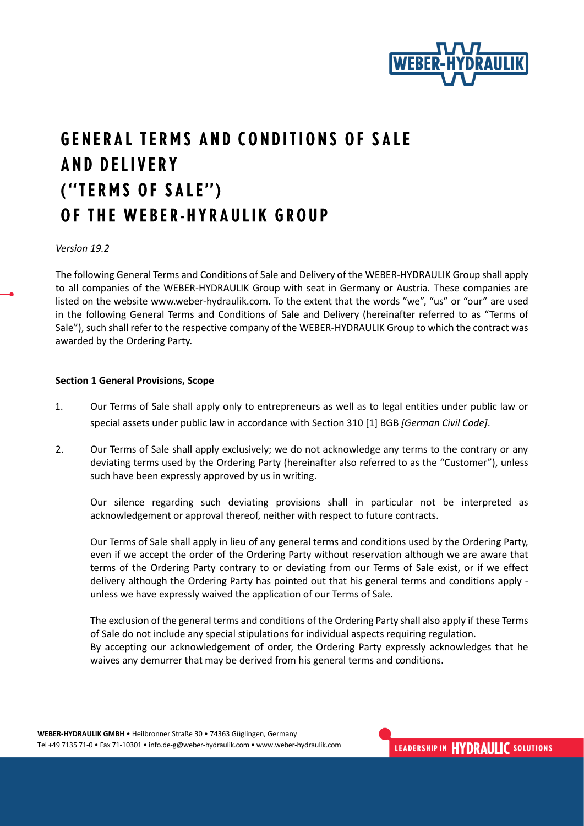

# **GENERAL TERMS AND CONDITIONS OF SALE AND DELIVERY** ("TERMS OF SALE") OF THE WEBER-HYRAULIK GROUP

*Version 19.2*

The following General Terms and Conditions of Sale and Delivery of the WEBER-HYDRAULIK Group shall apply to all companies of the WEBER-HYDRAULIK Group with seat in Germany or Austria. These companies are listed on the website www.weber-hydraulik.com. To the extent that the words "we", "us" or "our" are used in the following General Terms and Conditions of Sale and Delivery (hereinafter referred to as "Terms of Sale"), such shall refer to the respective company of the WEBER-HYDRAULIK Group to which the contract was awarded by the Ordering Party.

#### **Section 1 General Provisions, Scope**

- 1. Our Terms of Sale shall apply only to entrepreneurs as well as to legal entities under public law or special assets under public law in accordance with Section 310 [1] BGB *[German Civil Code]*.
- 2. Our Terms of Sale shall apply exclusively; we do not acknowledge any terms to the contrary or any deviating terms used by the Ordering Party (hereinafter also referred to as the "Customer"), unless such have been expressly approved by us in writing.

Our silence regarding such deviating provisions shall in particular not be interpreted as acknowledgement or approval thereof, neither with respect to future contracts.

Our Terms of Sale shall apply in lieu of any general terms and conditions used by the Ordering Party, even if we accept the order of the Ordering Party without reservation although we are aware that terms of the Ordering Party contrary to or deviating from our Terms of Sale exist, or if we effect delivery although the Ordering Party has pointed out that his general terms and conditions apply unless we have expressly waived the application of our Terms of Sale.

The exclusion of the general terms and conditions of the Ordering Party shall also apply if these Terms of Sale do not include any special stipulations for individual aspects requiring regulation. By accepting our acknowledgement of order, the Ordering Party expressly acknowledges that he waives any demurrer that may be derived from his general terms and conditions.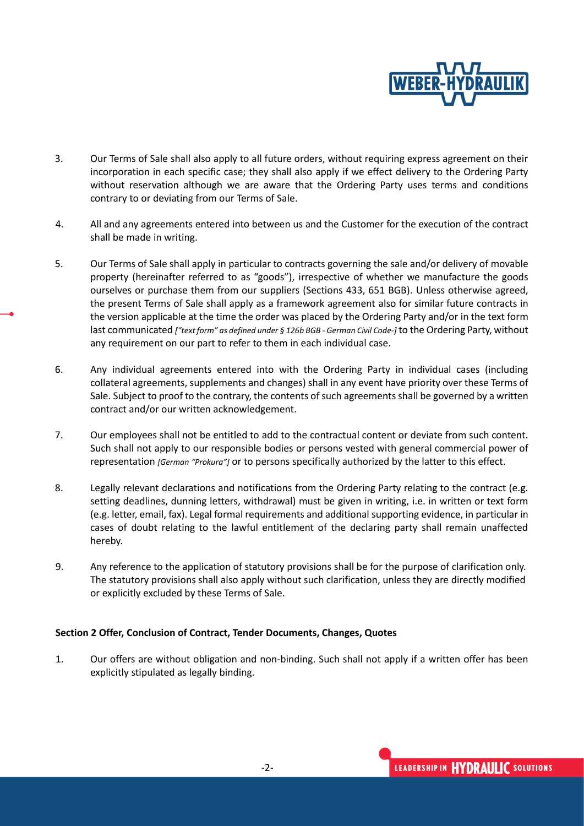

- 3. Our Terms of Sale shall also apply to all future orders, without requiring express agreement on their incorporation in each specific case; they shall also apply if we effect delivery to the Ordering Party without reservation although we are aware that the Ordering Party uses terms and conditions contrary to or deviating from our Terms of Sale.
- 4. All and any agreements entered into between us and the Customer for the execution of the contract shall be made in writing.
- 5. Our Terms of Sale shall apply in particular to contracts governing the sale and/or delivery of movable property (hereinafter referred to as "goods"), irrespective of whether we manufacture the goods ourselves or purchase them from our suppliers (Sections 433, 651 BGB). Unless otherwise agreed, the present Terms of Sale shall apply as a framework agreement also for similar future contracts in the version applicable at the time the order was placed by the Ordering Party and/or in the text form last communicated *["text form" as defined under § 126b BGB - German Civil Code-]* to the Ordering Party, without any requirement on our part to refer to them in each individual case.
- 6. Any individual agreements entered into with the Ordering Party in individual cases (including collateral agreements, supplements and changes) shall in any event have priority over these Terms of Sale. Subject to proof to the contrary, the contents of such agreements shall be governed by a written contract and/or our written acknowledgement.
- 7. Our employees shall not be entitled to add to the contractual content or deviate from such content. Such shall not apply to our responsible bodies or persons vested with general commercial power of representation *[German "Prokura"]* or to persons specifically authorized by the latter to this effect.
- 8. Legally relevant declarations and notifications from the Ordering Party relating to the contract (e.g. setting deadlines, dunning letters, withdrawal) must be given in writing, i.e. in written or text form (e.g. letter, email, fax). Legal formal requirements and additional supporting evidence, in particular in cases of doubt relating to the lawful entitlement of the declaring party shall remain unaffected hereby.
- 9. Any reference to the application of statutory provisions shall be for the purpose of clarification only. The statutory provisions shall also apply without such clarification, unless they are directly modified or explicitly excluded by these Terms of Sale.

# **Section 2 Offer, Conclusion of Contract, Tender Documents, Changes, Quotes**

1. Our offers are without obligation and non-binding. Such shall not apply if a written offer has been explicitly stipulated as legally binding.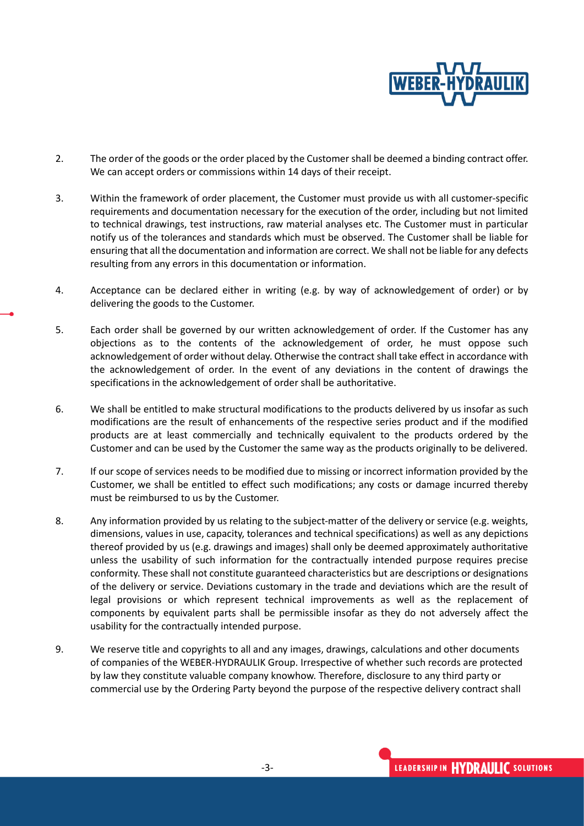

- 2. The order of the goods or the order placed by the Customer shall be deemed a binding contract offer. We can accept orders or commissions within 14 days of their receipt.
- 3. Within the framework of order placement, the Customer must provide us with all customer-specific requirements and documentation necessary for the execution of the order, including but not limited to technical drawings, test instructions, raw material analyses etc. The Customer must in particular notify us of the tolerances and standards which must be observed. The Customer shall be liable for ensuring that all the documentation and information are correct. We shall not be liable for any defects resulting from any errors in this documentation or information.
- 4. Acceptance can be declared either in writing (e.g. by way of acknowledgement of order) or by delivering the goods to the Customer.
- 5. Each order shall be governed by our written acknowledgement of order. If the Customer has any objections as to the contents of the acknowledgement of order, he must oppose such acknowledgement of order without delay. Otherwise the contract shall take effect in accordance with the acknowledgement of order. In the event of any deviations in the content of drawings the specifications in the acknowledgement of order shall be authoritative.
- 6. We shall be entitled to make structural modifications to the products delivered by us insofar as such modifications are the result of enhancements of the respective series product and if the modified products are at least commercially and technically equivalent to the products ordered by the Customer and can be used by the Customer the same way as the products originally to be delivered.
- 7. If our scope of services needs to be modified due to missing or incorrect information provided by the Customer, we shall be entitled to effect such modifications; any costs or damage incurred thereby must be reimbursed to us by the Customer.
- 8. Any information provided by us relating to the subject-matter of the delivery or service (e.g. weights, dimensions, values in use, capacity, tolerances and technical specifications) as well as any depictions thereof provided by us (e.g. drawings and images) shall only be deemed approximately authoritative unless the usability of such information for the contractually intended purpose requires precise conformity. These shall not constitute guaranteed characteristics but are descriptions or designations of the delivery or service. Deviations customary in the trade and deviations which are the result of legal provisions or which represent technical improvements as well as the replacement of components by equivalent parts shall be permissible insofar as they do not adversely affect the usability for the contractually intended purpose.
- 9. We reserve title and copyrights to all and any images, drawings, calculations and other documents of companies of the WEBER-HYDRAULIK Group. Irrespective of whether such records are protected by law they constitute valuable company knowhow. Therefore, disclosure to any third party or commercial use by the Ordering Party beyond the purpose of the respective delivery contract shall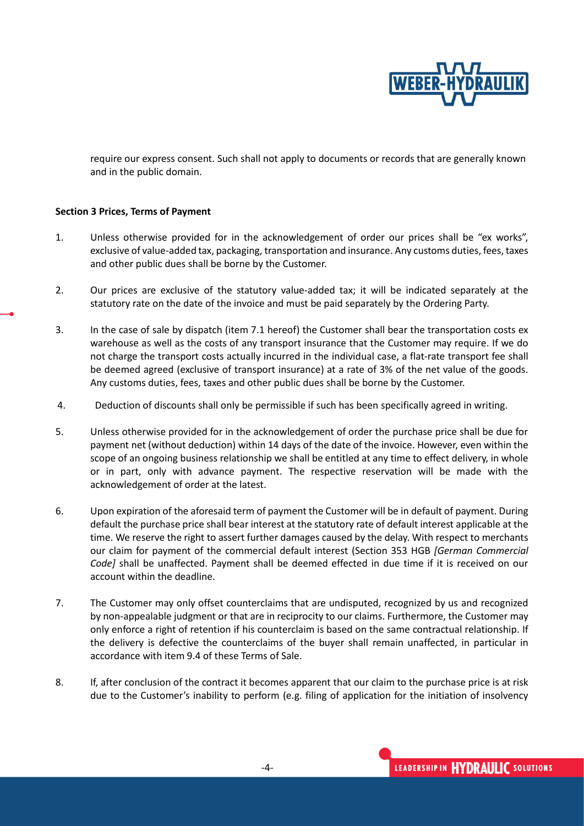

require our express consent. Such shall not apply to documents or records that are generally known and in the public domain.

#### **Section 3 Prices, Terms of Payment**

- 1. Unless otherwise provided for in the acknowledgement of order our prices shall be "ex works", exclusive of value-added tax, packaging, transportation and insurance. Any customs duties, fees, taxes and other public dues shall be borne by the Customer.
- 2. Our prices are exclusive of the statutory value-added tax; it will be indicated separately at the statutory rate on the date of the invoice and must be paid separately by the Ordering Party.
- 3. In the case of sale by dispatch (item 7.1 hereof) the Customer shall bear the transportation costs ex warehouse as well as the costs of any transport insurance that the Customer may require. If we do not charge the transport costs actually incurred in the individual case, a flat-rate transport fee shall be deemed agreed (exclusive of transport insurance) at a rate of 3% of the net value of the goods. Any customs duties, fees, taxes and other public dues shall be borne by the Customer.
- 4. Deduction of discounts shall only be permissible if such has been specifically agreed in writing.
- 5. Unless otherwise provided for in the acknowledgement of order the purchase price shall be due for payment net (without deduction) within 14 days of the date of the invoice. However, even within the scope of an ongoing business relationship we shall be entitled at any time to effect delivery, in whole or in part, only with advance payment. The respective reservation will be made with the acknowledgement of order at the latest.
- 6. Upon expiration of the aforesaid term of payment the Customer will be in default of payment. During default the purchase price shall bear interest at the statutory rate of default interest applicable at the time. We reserve the right to assert further damages caused by the delay. With respect to merchants our claim for payment of the commercial default interest (Section 353 HGB *[German Commercial Code]* shall be unaffected. Payment shall be deemed effected in due time if it is received on our account within the deadline.
- 7. The Customer may only offset counterclaims that are undisputed, recognized by us and recognized by non-appealable judgment or that are in reciprocity to our claims. Furthermore, the Customer may only enforce a right of retention if his counterclaim is based on the same contractual relationship. If the delivery is defective the counterclaims of the buyer shall remain unaffected, in particular in accordance with item 9.4 of these Terms of Sale.
- 8. If, after conclusion of the contract it becomes apparent that our claim to the purchase price is at risk due to the Customer's inability to perform (e.g. filing of application for the initiation of insolvency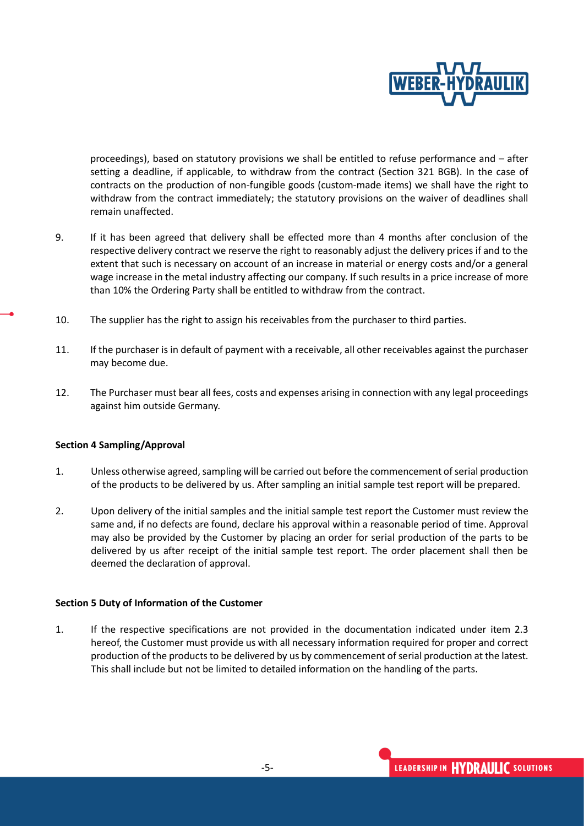

proceedings), based on statutory provisions we shall be entitled to refuse performance and – after setting a deadline, if applicable, to withdraw from the contract (Section 321 BGB). In the case of contracts on the production of non-fungible goods (custom-made items) we shall have the right to withdraw from the contract immediately; the statutory provisions on the waiver of deadlines shall remain unaffected.

- 9. If it has been agreed that delivery shall be effected more than 4 months after conclusion of the respective delivery contract we reserve the right to reasonably adjust the delivery prices if and to the extent that such is necessary on account of an increase in material or energy costs and/or a general wage increase in the metal industry affecting our company. If such results in a price increase of more than 10% the Ordering Party shall be entitled to withdraw from the contract.
- 10. The supplier has the right to assign his receivables from the purchaser to third parties.
- 11. If the purchaser is in default of payment with a receivable, all other receivables against the purchaser may become due.
- 12. The Purchaser must bear all fees, costs and expenses arising in connection with any legal proceedings against him outside Germany.

#### **Section 4 Sampling/Approval**

- 1. Unless otherwise agreed, sampling will be carried out before the commencement of serial production of the products to be delivered by us. After sampling an initial sample test report will be prepared.
- 2. Upon delivery of the initial samples and the initial sample test report the Customer must review the same and, if no defects are found, declare his approval within a reasonable period of time. Approval may also be provided by the Customer by placing an order for serial production of the parts to be delivered by us after receipt of the initial sample test report. The order placement shall then be deemed the declaration of approval.

#### **Section 5 Duty of Information of the Customer**

1. If the respective specifications are not provided in the documentation indicated under item 2.3 hereof, the Customer must provide us with all necessary information required for proper and correct production of the products to be delivered by us by commencement of serial production at the latest. This shall include but not be limited to detailed information on the handling of the parts.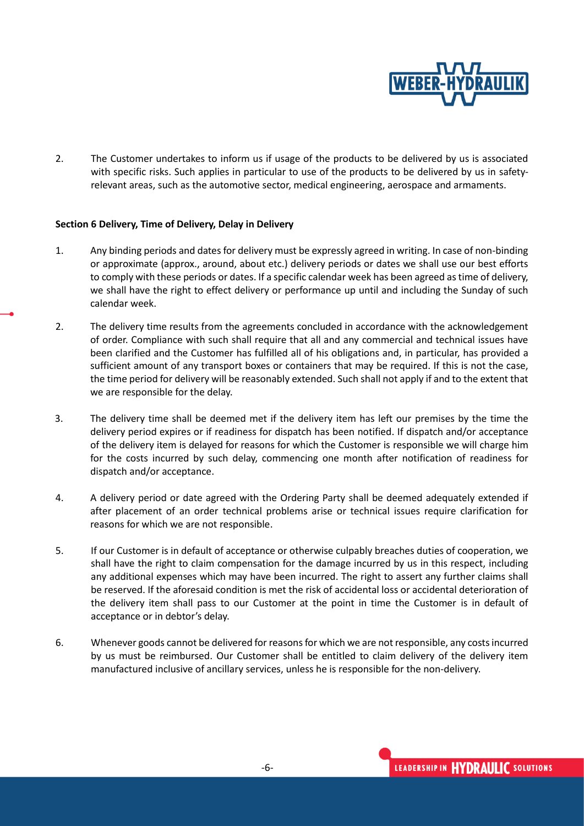

2. The Customer undertakes to inform us if usage of the products to be delivered by us is associated with specific risks. Such applies in particular to use of the products to be delivered by us in safetyrelevant areas, such as the automotive sector, medical engineering, aerospace and armaments.

## **Section 6 Delivery, Time of Delivery, Delay in Delivery**

- 1. Any binding periods and dates for delivery must be expressly agreed in writing. In case of non-binding or approximate (approx., around, about etc.) delivery periods or dates we shall use our best efforts to comply with these periods or dates. If a specific calendar week has been agreed as time of delivery, we shall have the right to effect delivery or performance up until and including the Sunday of such calendar week.
- 2. The delivery time results from the agreements concluded in accordance with the acknowledgement of order. Compliance with such shall require that all and any commercial and technical issues have been clarified and the Customer has fulfilled all of his obligations and, in particular, has provided a sufficient amount of any transport boxes or containers that may be required. If this is not the case, the time period for delivery will be reasonably extended. Such shall not apply if and to the extent that we are responsible for the delay.
- 3. The delivery time shall be deemed met if the delivery item has left our premises by the time the delivery period expires or if readiness for dispatch has been notified. If dispatch and/or acceptance of the delivery item is delayed for reasons for which the Customer is responsible we will charge him for the costs incurred by such delay, commencing one month after notification of readiness for dispatch and/or acceptance.
- 4. A delivery period or date agreed with the Ordering Party shall be deemed adequately extended if after placement of an order technical problems arise or technical issues require clarification for reasons for which we are not responsible.
- 5. If our Customer is in default of acceptance or otherwise culpably breaches duties of cooperation, we shall have the right to claim compensation for the damage incurred by us in this respect, including any additional expenses which may have been incurred. The right to assert any further claims shall be reserved. If the aforesaid condition is met the risk of accidental loss or accidental deterioration of the delivery item shall pass to our Customer at the point in time the Customer is in default of acceptance or in debtor's delay.
- 6. Whenever goods cannot be delivered for reasons for which we are not responsible, any costs incurred by us must be reimbursed. Our Customer shall be entitled to claim delivery of the delivery item manufactured inclusive of ancillary services, unless he is responsible for the non-delivery.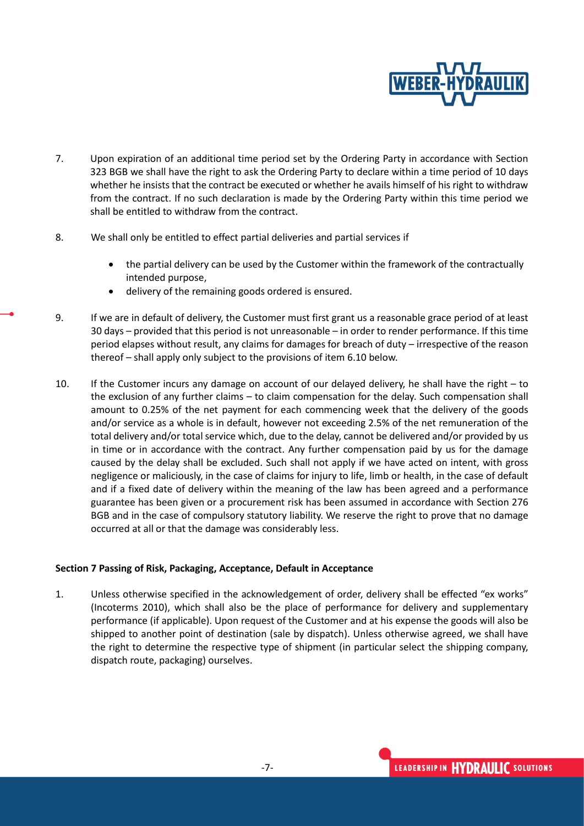

- 7. Upon expiration of an additional time period set by the Ordering Party in accordance with Section 323 BGB we shall have the right to ask the Ordering Party to declare within a time period of 10 days whether he insists that the contract be executed or whether he avails himself of his right to withdraw from the contract. If no such declaration is made by the Ordering Party within this time period we shall be entitled to withdraw from the contract.
- 8. We shall only be entitled to effect partial deliveries and partial services if
	- the partial delivery can be used by the Customer within the framework of the contractually intended purpose,
	- delivery of the remaining goods ordered is ensured.
- 9. If we are in default of delivery, the Customer must first grant us a reasonable grace period of at least 30 days – provided that this period is not unreasonable – in order to render performance. If this time period elapses without result, any claims for damages for breach of duty – irrespective of the reason thereof – shall apply only subject to the provisions of item 6.10 below.
- 10. If the Customer incurs any damage on account of our delayed delivery, he shall have the right to the exclusion of any further claims – to claim compensation for the delay. Such compensation shall amount to 0.25% of the net payment for each commencing week that the delivery of the goods and/or service as a whole is in default, however not exceeding 2.5% of the net remuneration of the total delivery and/or total service which, due to the delay, cannot be delivered and/or provided by us in time or in accordance with the contract. Any further compensation paid by us for the damage caused by the delay shall be excluded. Such shall not apply if we have acted on intent, with gross negligence or maliciously, in the case of claims for injury to life, limb or health, in the case of default and if a fixed date of delivery within the meaning of the law has been agreed and a performance guarantee has been given or a procurement risk has been assumed in accordance with Section 276 BGB and in the case of compulsory statutory liability. We reserve the right to prove that no damage occurred at all or that the damage was considerably less.

# **Section 7 Passing of Risk, Packaging, Acceptance, Default in Acceptance**

1. Unless otherwise specified in the acknowledgement of order, delivery shall be effected "ex works" (Incoterms 2010), which shall also be the place of performance for delivery and supplementary performance (if applicable). Upon request of the Customer and at his expense the goods will also be shipped to another point of destination (sale by dispatch). Unless otherwise agreed, we shall have the right to determine the respective type of shipment (in particular select the shipping company, dispatch route, packaging) ourselves.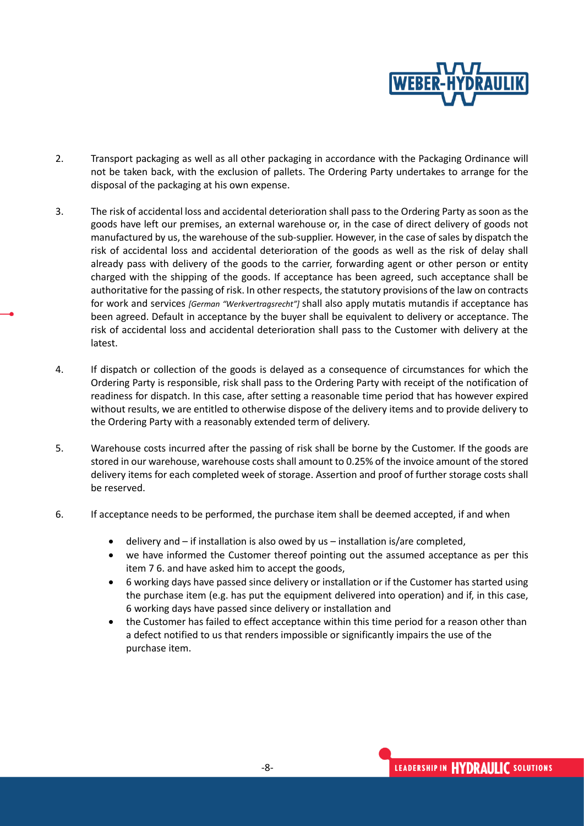

- 2. Transport packaging as well as all other packaging in accordance with the Packaging Ordinance will not be taken back, with the exclusion of pallets. The Ordering Party undertakes to arrange for the disposal of the packaging at his own expense.
- 3. The risk of accidental loss and accidental deterioration shall pass to the Ordering Party as soon as the goods have left our premises, an external warehouse or, in the case of direct delivery of goods not manufactured by us, the warehouse of the sub-supplier. However, in the case of sales by dispatch the risk of accidental loss and accidental deterioration of the goods as well as the risk of delay shall already pass with delivery of the goods to the carrier, forwarding agent or other person or entity charged with the shipping of the goods. If acceptance has been agreed, such acceptance shall be authoritative for the passing of risk. In other respects, the statutory provisions of the law on contracts for work and services *[German "Werkvertragsrecht"]* shall also apply mutatis mutandis if acceptance has been agreed. Default in acceptance by the buyer shall be equivalent to delivery or acceptance. The risk of accidental loss and accidental deterioration shall pass to the Customer with delivery at the latest.
- 4. If dispatch or collection of the goods is delayed as a consequence of circumstances for which the Ordering Party is responsible, risk shall pass to the Ordering Party with receipt of the notification of readiness for dispatch. In this case, after setting a reasonable time period that has however expired without results, we are entitled to otherwise dispose of the delivery items and to provide delivery to the Ordering Party with a reasonably extended term of delivery.
- 5. Warehouse costs incurred after the passing of risk shall be borne by the Customer. If the goods are stored in our warehouse, warehouse costs shall amount to 0.25% of the invoice amount of the stored delivery items for each completed week of storage. Assertion and proof of further storage costs shall be reserved.
- 6. If acceptance needs to be performed, the purchase item shall be deemed accepted, if and when
	- delivery and if installation is also owed by us installation is/are completed,
	- we have informed the Customer thereof pointing out the assumed acceptance as per this item 7 6. and have asked him to accept the goods,
	- 6 working days have passed since delivery or installation or if the Customer has started using the purchase item (e.g. has put the equipment delivered into operation) and if, in this case, 6 working days have passed since delivery or installation and
	- the Customer has failed to effect acceptance within this time period for a reason other than a defect notified to us that renders impossible or significantly impairs the use of the purchase item.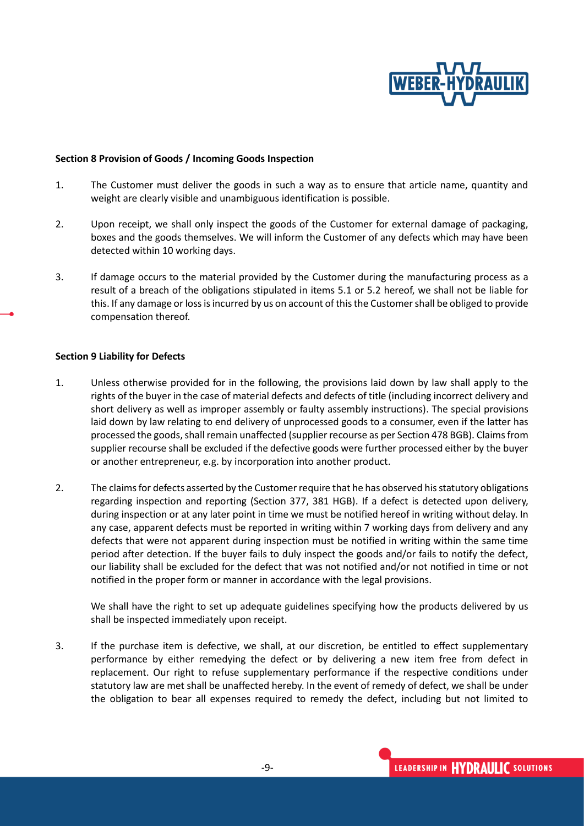

#### **Section 8 Provision of Goods / Incoming Goods Inspection**

- 1. The Customer must deliver the goods in such a way as to ensure that article name, quantity and weight are clearly visible and unambiguous identification is possible.
- 2. Upon receipt, we shall only inspect the goods of the Customer for external damage of packaging, boxes and the goods themselves. We will inform the Customer of any defects which may have been detected within 10 working days.
- 3. If damage occurs to the material provided by the Customer during the manufacturing process as a result of a breach of the obligations stipulated in items 5.1 or 5.2 hereof, we shall not be liable for this. If any damage or loss is incurred by us on account of this the Customer shall be obliged to provide compensation thereof.

## **Section 9 Liability for Defects**

- 1. Unless otherwise provided for in the following, the provisions laid down by law shall apply to the rights of the buyer in the case of material defects and defects of title (including incorrect delivery and short delivery as well as improper assembly or faulty assembly instructions). The special provisions laid down by law relating to end delivery of unprocessed goods to a consumer, even if the latter has processed the goods, shall remain unaffected (supplier recourse as per Section 478 BGB). Claims from supplier recourse shall be excluded if the defective goods were further processed either by the buyer or another entrepreneur, e.g. by incorporation into another product.
- 2. The claims for defects asserted by the Customer require that he has observed his statutory obligations regarding inspection and reporting (Section 377, 381 HGB). If a defect is detected upon delivery, during inspection or at any later point in time we must be notified hereof in writing without delay. In any case, apparent defects must be reported in writing within 7 working days from delivery and any defects that were not apparent during inspection must be notified in writing within the same time period after detection. If the buyer fails to duly inspect the goods and/or fails to notify the defect, our liability shall be excluded for the defect that was not notified and/or not notified in time or not notified in the proper form or manner in accordance with the legal provisions.

We shall have the right to set up adequate guidelines specifying how the products delivered by us shall be inspected immediately upon receipt.

3. If the purchase item is defective, we shall, at our discretion, be entitled to effect supplementary performance by either remedying the defect or by delivering a new item free from defect in replacement. Our right to refuse supplementary performance if the respective conditions under statutory law are met shall be unaffected hereby. In the event of remedy of defect, we shall be under the obligation to bear all expenses required to remedy the defect, including but not limited to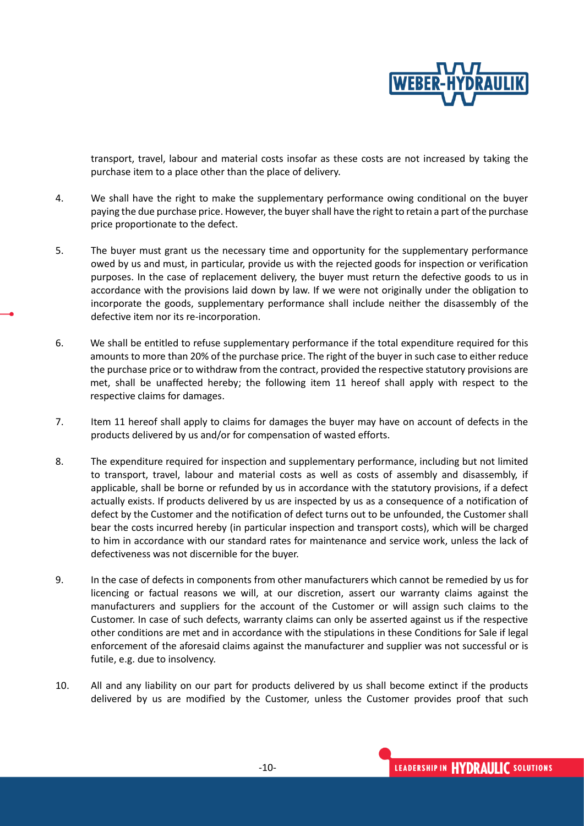

transport, travel, labour and material costs insofar as these costs are not increased by taking the purchase item to a place other than the place of delivery.

- 4. We shall have the right to make the supplementary performance owing conditional on the buyer paying the due purchase price. However, the buyer shall have the right to retain a part of the purchase price proportionate to the defect.
- 5. The buyer must grant us the necessary time and opportunity for the supplementary performance owed by us and must, in particular, provide us with the rejected goods for inspection or verification purposes. In the case of replacement delivery, the buyer must return the defective goods to us in accordance with the provisions laid down by law. If we were not originally under the obligation to incorporate the goods, supplementary performance shall include neither the disassembly of the defective item nor its re-incorporation.
- 6. We shall be entitled to refuse supplementary performance if the total expenditure required for this amounts to more than 20% of the purchase price. The right of the buyer in such case to either reduce the purchase price or to withdraw from the contract, provided the respective statutory provisions are met, shall be unaffected hereby; the following item 11 hereof shall apply with respect to the respective claims for damages.
- 7. Item 11 hereof shall apply to claims for damages the buyer may have on account of defects in the products delivered by us and/or for compensation of wasted efforts.
- 8. The expenditure required for inspection and supplementary performance, including but not limited to transport, travel, labour and material costs as well as costs of assembly and disassembly, if applicable, shall be borne or refunded by us in accordance with the statutory provisions, if a defect actually exists. If products delivered by us are inspected by us as a consequence of a notification of defect by the Customer and the notification of defect turns out to be unfounded, the Customer shall bear the costs incurred hereby (in particular inspection and transport costs), which will be charged to him in accordance with our standard rates for maintenance and service work, unless the lack of defectiveness was not discernible for the buyer.
- 9. In the case of defects in components from other manufacturers which cannot be remedied by us for licencing or factual reasons we will, at our discretion, assert our warranty claims against the manufacturers and suppliers for the account of the Customer or will assign such claims to the Customer. In case of such defects, warranty claims can only be asserted against us if the respective other conditions are met and in accordance with the stipulations in these Conditions for Sale if legal enforcement of the aforesaid claims against the manufacturer and supplier was not successful or is futile, e.g. due to insolvency.
- 10. All and any liability on our part for products delivered by us shall become extinct if the products delivered by us are modified by the Customer, unless the Customer provides proof that such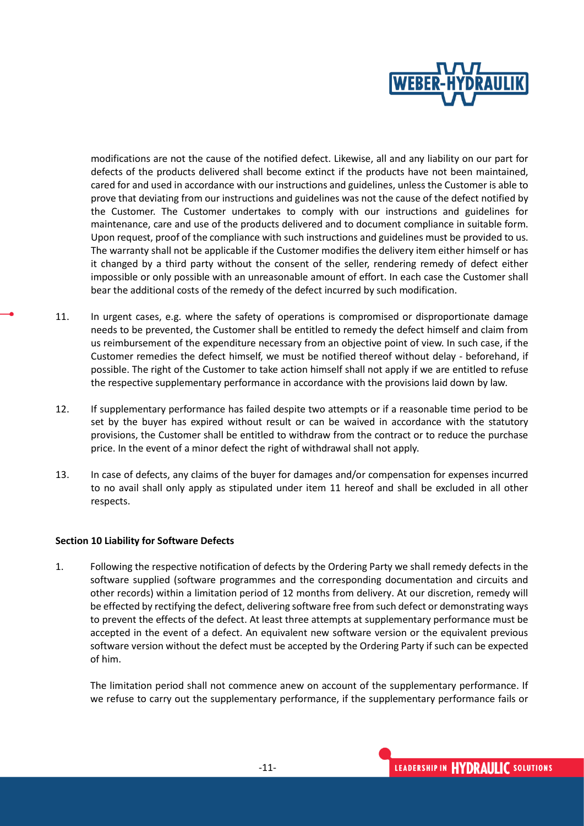

modifications are not the cause of the notified defect. Likewise, all and any liability on our part for defects of the products delivered shall become extinct if the products have not been maintained, cared for and used in accordance with our instructions and guidelines, unless the Customer is able to prove that deviating from our instructions and guidelines was not the cause of the defect notified by the Customer. The Customer undertakes to comply with our instructions and guidelines for maintenance, care and use of the products delivered and to document compliance in suitable form. Upon request, proof of the compliance with such instructions and guidelines must be provided to us. The warranty shall not be applicable if the Customer modifies the delivery item either himself or has it changed by a third party without the consent of the seller, rendering remedy of defect either impossible or only possible with an unreasonable amount of effort. In each case the Customer shall bear the additional costs of the remedy of the defect incurred by such modification.

- 11. In urgent cases, e.g. where the safety of operations is compromised or disproportionate damage needs to be prevented, the Customer shall be entitled to remedy the defect himself and claim from us reimbursement of the expenditure necessary from an objective point of view. In such case, if the Customer remedies the defect himself, we must be notified thereof without delay - beforehand, if possible. The right of the Customer to take action himself shall not apply if we are entitled to refuse the respective supplementary performance in accordance with the provisions laid down by law.
- 12. If supplementary performance has failed despite two attempts or if a reasonable time period to be set by the buyer has expired without result or can be waived in accordance with the statutory provisions, the Customer shall be entitled to withdraw from the contract or to reduce the purchase price. In the event of a minor defect the right of withdrawal shall not apply.
- 13. In case of defects, any claims of the buyer for damages and/or compensation for expenses incurred to no avail shall only apply as stipulated under item 11 hereof and shall be excluded in all other respects.

#### **Section 10 Liability for Software Defects**

1. Following the respective notification of defects by the Ordering Party we shall remedy defects in the software supplied (software programmes and the corresponding documentation and circuits and other records) within a limitation period of 12 months from delivery. At our discretion, remedy will be effected by rectifying the defect, delivering software free from such defect or demonstrating ways to prevent the effects of the defect. At least three attempts at supplementary performance must be accepted in the event of a defect. An equivalent new software version or the equivalent previous software version without the defect must be accepted by the Ordering Party if such can be expected of him.

The limitation period shall not commence anew on account of the supplementary performance. If we refuse to carry out the supplementary performance, if the supplementary performance fails or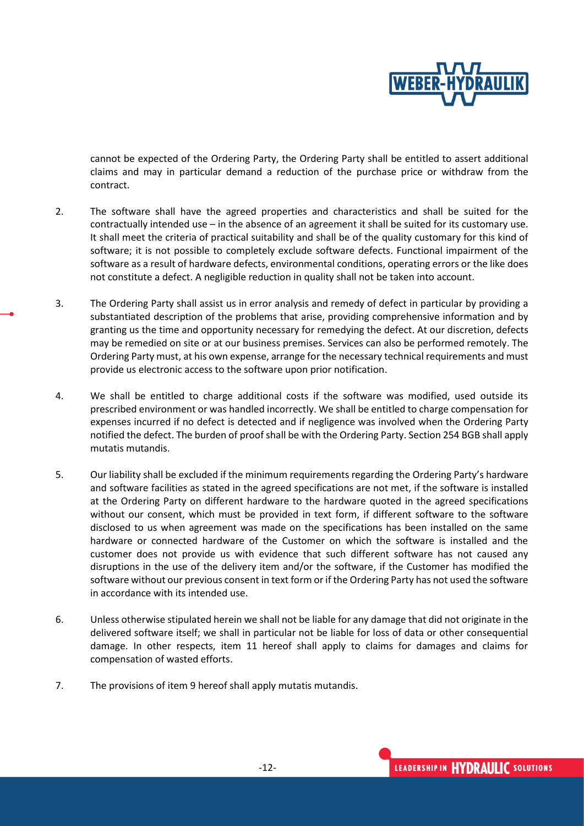

cannot be expected of the Ordering Party, the Ordering Party shall be entitled to assert additional claims and may in particular demand a reduction of the purchase price or withdraw from the contract.

- 2. The software shall have the agreed properties and characteristics and shall be suited for the contractually intended use – in the absence of an agreement it shall be suited for its customary use. It shall meet the criteria of practical suitability and shall be of the quality customary for this kind of software; it is not possible to completely exclude software defects. Functional impairment of the software as a result of hardware defects, environmental conditions, operating errors or the like does not constitute a defect. A negligible reduction in quality shall not be taken into account.
- 3. The Ordering Party shall assist us in error analysis and remedy of defect in particular by providing a substantiated description of the problems that arise, providing comprehensive information and by granting us the time and opportunity necessary for remedying the defect. At our discretion, defects may be remedied on site or at our business premises. Services can also be performed remotely. The Ordering Party must, at his own expense, arrange for the necessary technical requirements and must provide us electronic access to the software upon prior notification.
- 4. We shall be entitled to charge additional costs if the software was modified, used outside its prescribed environment or was handled incorrectly. We shall be entitled to charge compensation for expenses incurred if no defect is detected and if negligence was involved when the Ordering Party notified the defect. The burden of proof shall be with the Ordering Party. Section [254](https://beck-online.beck.de/?typ=reference&y=100&g=BGB&p=254) BGB shall apply mutatis mutandis.
- 5. Our liability shall be excluded if the minimum requirements regarding the Ordering Party's hardware and software facilities as stated in the agreed specifications are not met, if the software is installed at the Ordering Party on different hardware to the hardware quoted in the agreed specifications without our consent, which must be provided in text form, if different software to the software disclosed to us when agreement was made on the specifications has been installed on the same hardware or connected hardware of the Customer on which the software is installed and the customer does not provide us with evidence that such different software has not caused any disruptions in the use of the delivery item and/or the software, if the Customer has modified the software without our previous consent in text form or if the Ordering Party has not used the software in accordance with its intended use.
- 6. Unless otherwise stipulated herein we shall not be liable for any damage that did not originate in the delivered software itself; we shall in particular not be liable for loss of data or other consequential damage. In other respects, item 11 hereof shall apply to claims for damages and claims for compensation of wasted efforts.
- 7. The provisions of item 9 hereof shall apply mutatis mutandis.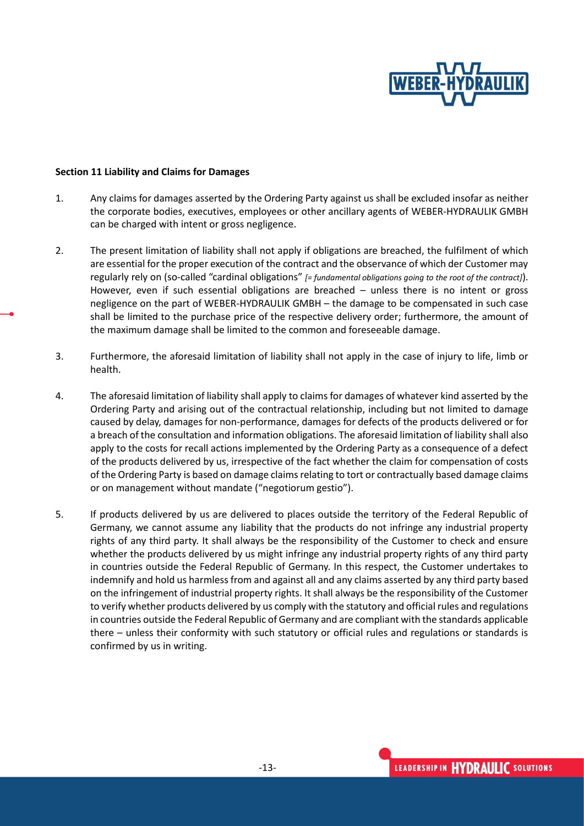

#### **Section 11 Liability and Claims for Damages**

- 1. Any claims for damages asserted by the Ordering Party against us shall be excluded insofar as neither the corporate bodies, executives, employees or other ancillary agents of WEBER-HYDRAULIK GMBH can be charged with intent or gross negligence.
- 2. The present limitation of liability shall not apply if obligations are breached, the fulfilment of which are essential for the proper execution of the contract and the observance of which der Customer may regularly rely on (so-called "cardinal obligations" *[= fundamental obligations going to the root of the contract]*). However, even if such essential obligations are breached – unless there is no intent or gross negligence on the part of WEBER-HYDRAULIK GMBH – the damage to be compensated in such case shall be limited to the purchase price of the respective delivery order; furthermore, the amount of the maximum damage shall be limited to the common and foreseeable damage.
- 3. Furthermore, the aforesaid limitation of liability shall not apply in the case of injury to life, limb or health.
- 4. The aforesaid limitation of liability shall apply to claims for damages of whatever kind asserted by the Ordering Party and arising out of the contractual relationship, including but not limited to damage caused by delay, damages for non-performance, damages for defects of the products delivered or for a breach of the consultation and information obligations. The aforesaid limitation of liability shall also apply to the costs for recall actions implemented by the Ordering Party as a consequence of a defect of the products delivered by us, irrespective of the fact whether the claim for compensation of costs of the Ordering Party is based on damage claims relating to tort or contractually based damage claims or on management without mandate ("negotiorum gestio").
- 5. If products delivered by us are delivered to places outside the territory of the Federal Republic of Germany, we cannot assume any liability that the products do not infringe any industrial property rights of any third party. It shall always be the responsibility of the Customer to check and ensure whether the products delivered by us might infringe any industrial property rights of any third party in countries outside the Federal Republic of Germany. In this respect, the Customer undertakes to indemnify and hold us harmless from and against all and any claims asserted by any third party based on the infringement of industrial property rights. It shall always be the responsibility of the Customer to verify whether products delivered by us comply with the statutory and official rules and regulations in countries outside the Federal Republic of Germany and are compliant with the standards applicable there – unless their conformity with such statutory or official rules and regulations or standards is confirmed by us in writing.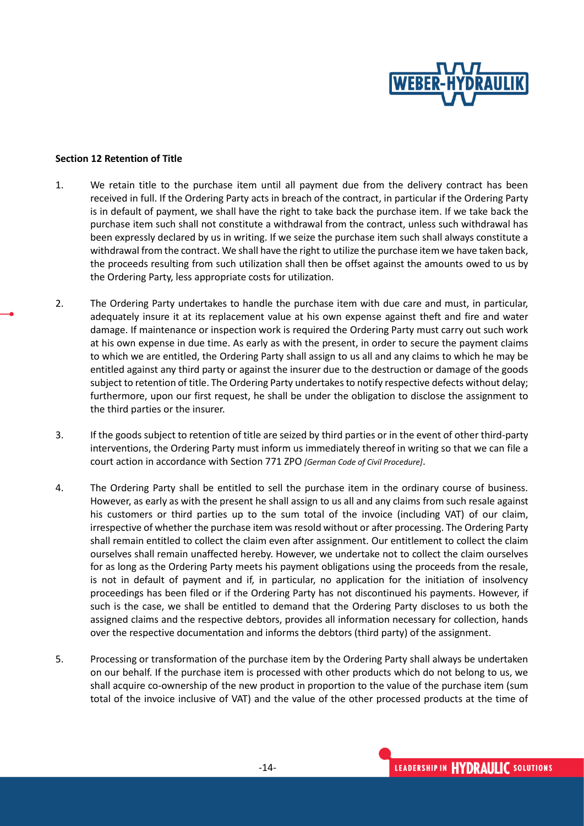

#### **Section 12 Retention of Title**

- 1. We retain title to the purchase item until all payment due from the delivery contract has been received in full. If the Ordering Party acts in breach of the contract, in particular if the Ordering Party is in default of payment, we shall have the right to take back the purchase item. If we take back the purchase item such shall not constitute a withdrawal from the contract, unless such withdrawal has been expressly declared by us in writing. If we seize the purchase item such shall always constitute a withdrawal from the contract. We shall have the right to utilize the purchase item we have taken back, the proceeds resulting from such utilization shall then be offset against the amounts owed to us by the Ordering Party, less appropriate costs for utilization.
- 2. The Ordering Party undertakes to handle the purchase item with due care and must, in particular, adequately insure it at its replacement value at his own expense against theft and fire and water damage. If maintenance or inspection work is required the Ordering Party must carry out such work at his own expense in due time. As early as with the present, in order to secure the payment claims to which we are entitled, the Ordering Party shall assign to us all and any claims to which he may be entitled against any third party or against the insurer due to the destruction or damage of the goods subject to retention of title. The Ordering Party undertakes to notify respective defects without delay; furthermore, upon our first request, he shall be under the obligation to disclose the assignment to the third parties or the insurer.
- 3. If the goods subject to retention of title are seized by third parties or in the event of other third-party interventions, the Ordering Party must inform us immediately thereof in writing so that we can file a court action in accordance with Section 771 ZPO *[German Code of Civil Procedure]*.
- 4. The Ordering Party shall be entitled to sell the purchase item in the ordinary course of business. However, as early as with the present he shall assign to us all and any claims from such resale against his customers or third parties up to the sum total of the invoice (including VAT) of our claim, irrespective of whether the purchase item was resold without or after processing. The Ordering Party shall remain entitled to collect the claim even after assignment. Our entitlement to collect the claim ourselves shall remain unaffected hereby. However, we undertake not to collect the claim ourselves for as long as the Ordering Party meets his payment obligations using the proceeds from the resale, is not in default of payment and if, in particular, no application for the initiation of insolvency proceedings has been filed or if the Ordering Party has not discontinued his payments. However, if such is the case, we shall be entitled to demand that the Ordering Party discloses to us both the assigned claims and the respective debtors, provides all information necessary for collection, hands over the respective documentation and informs the debtors (third party) of the assignment.
- 5. Processing or transformation of the purchase item by the Ordering Party shall always be undertaken on our behalf. If the purchase item is processed with other products which do not belong to us, we shall acquire co-ownership of the new product in proportion to the value of the purchase item (sum total of the invoice inclusive of VAT) and the value of the other processed products at the time of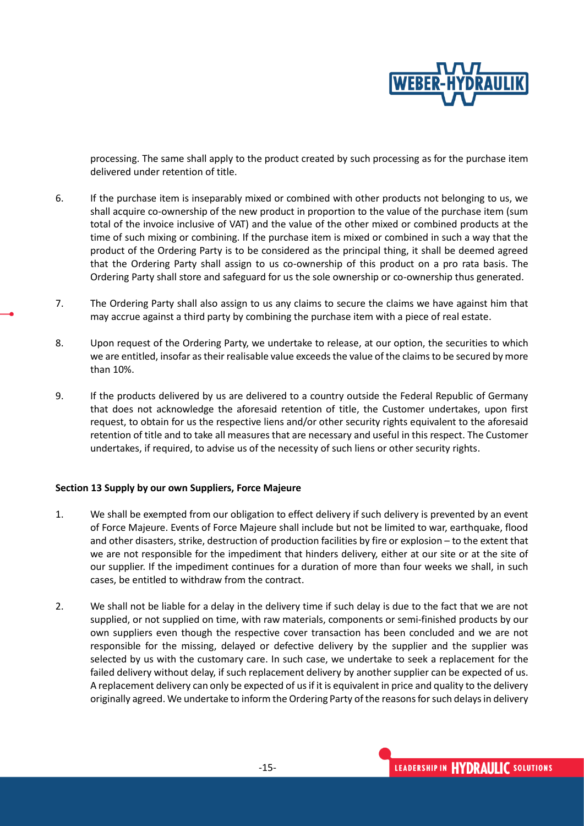

processing. The same shall apply to the product created by such processing as for the purchase item delivered under retention of title.

- 6. If the purchase item is inseparably mixed or combined with other products not belonging to us, we shall acquire co-ownership of the new product in proportion to the value of the purchase item (sum total of the invoice inclusive of VAT) and the value of the other mixed or combined products at the time of such mixing or combining. If the purchase item is mixed or combined in such a way that the product of the Ordering Party is to be considered as the principal thing, it shall be deemed agreed that the Ordering Party shall assign to us co-ownership of this product on a pro rata basis. The Ordering Party shall store and safeguard for us the sole ownership or co-ownership thus generated.
- 7. The Ordering Party shall also assign to us any claims to secure the claims we have against him that may accrue against a third party by combining the purchase item with a piece of real estate.
- 8. Upon request of the Ordering Party, we undertake to release, at our option, the securities to which we are entitled, insofar as their realisable value exceeds the value of the claims to be secured by more than 10%.
- 9. If the products delivered by us are delivered to a country outside the Federal Republic of Germany that does not acknowledge the aforesaid retention of title, the Customer undertakes, upon first request, to obtain for us the respective liens and/or other security rights equivalent to the aforesaid retention of title and to take all measures that are necessary and useful in this respect. The Customer undertakes, if required, to advise us of the necessity of such liens or other security rights.

# **Section 13 Supply by our own Suppliers, Force Majeure**

- 1. We shall be exempted from our obligation to effect delivery if such delivery is prevented by an event of Force Majeure. Events of Force Majeure shall include but not be limited to war, earthquake, flood and other disasters, strike, destruction of production facilities by fire or explosion – to the extent that we are not responsible for the impediment that hinders delivery, either at our site or at the site of our supplier. If the impediment continues for a duration of more than four weeks we shall, in such cases, be entitled to withdraw from the contract.
- 2. We shall not be liable for a delay in the delivery time if such delay is due to the fact that we are not supplied, or not supplied on time, with raw materials, components or semi-finished products by our own suppliers even though the respective cover transaction has been concluded and we are not responsible for the missing, delayed or defective delivery by the supplier and the supplier was selected by us with the customary care. In such case, we undertake to seek a replacement for the failed delivery without delay, if such replacement delivery by another supplier can be expected of us. A replacement delivery can only be expected of us if it is equivalent in price and quality to the delivery originally agreed. We undertake to inform the Ordering Party of the reasons for such delays in delivery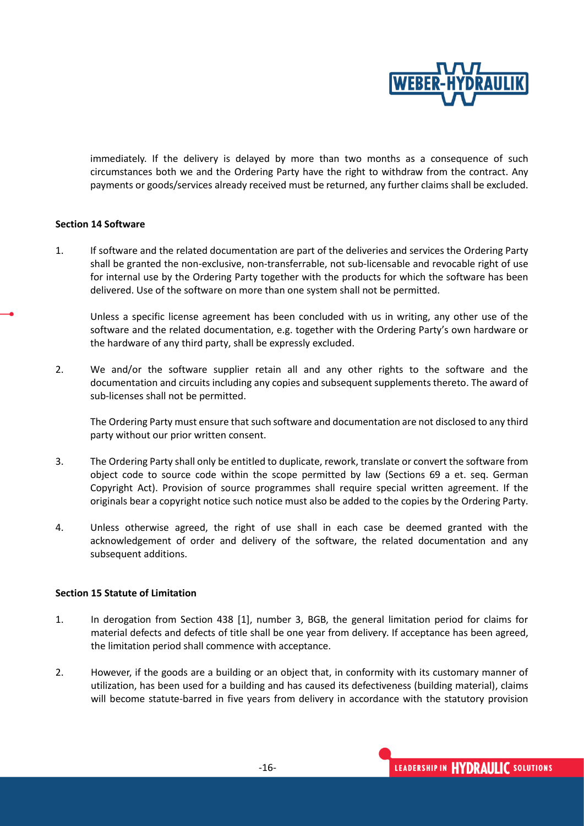

immediately. If the delivery is delayed by more than two months as a consequence of such circumstances both we and the Ordering Party have the right to withdraw from the contract. Any payments or goods/services already received must be returned, any further claims shall be excluded.

# **Section 14 Software**

1. If software and the related documentation are part of the deliveries and services the Ordering Party shall be granted the non-exclusive, non-transferrable, not sub-licensable and revocable right of use for internal use by the Ordering Party together with the products for which the software has been delivered. Use of the software on more than one system shall not be permitted.

Unless a specific license agreement has been concluded with us in writing, any other use of the software and the related documentation, e.g. together with the Ordering Party's own hardware or the hardware of any third party, shall be expressly excluded.

2. We and/or the software supplier retain all and any other rights to the software and the documentation and circuits including any copies and subsequent supplements thereto. The award of sub-licenses shall not be permitted.

The Ordering Party must ensure that such software and documentation are not disclosed to any third party without our prior written consent.

- 3. The Ordering Party shall only be entitled to duplicate, rework, translate or convert the software from object code to source code within the scope permitted by law (Sections 69 a et. seq. German Copyright Act). Provision of source programmes shall require special written agreement. If the originals bear a copyright notice such notice must also be added to the copies by the Ordering Party.
- 4. Unless otherwise agreed, the right of use shall in each case be deemed granted with the acknowledgement of order and delivery of the software, the related documentation and any subsequent additions.

#### **Section 15 Statute of Limitation**

- 1. In derogation from Section 438 [1], number 3, BGB, the general limitation period for claims for material defects and defects of title shall be one year from delivery. If acceptance has been agreed, the limitation period shall commence with acceptance.
- 2. However, if the goods are a building or an object that, in conformity with its customary manner of utilization, has been used for a building and has caused its defectiveness (building material), claims will become statute-barred in five years from delivery in accordance with the statutory provision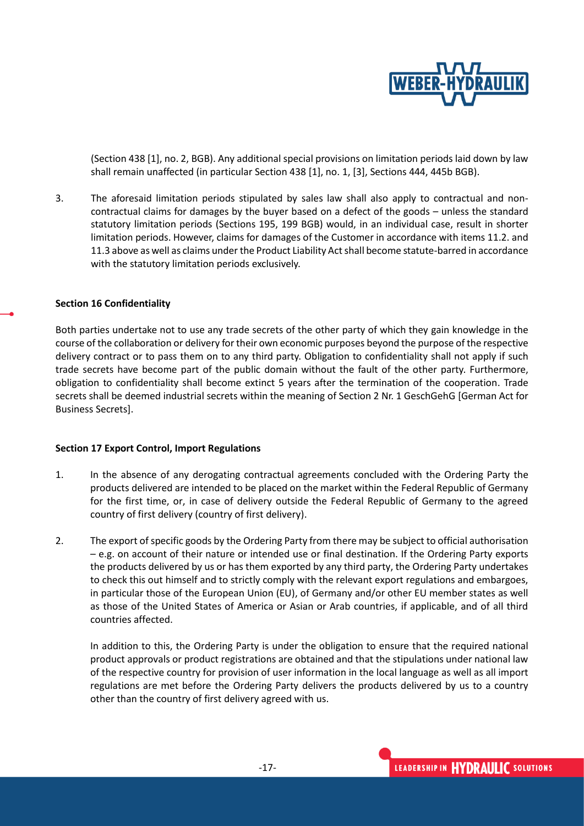

(Section 438 [1], no. 2, BGB). Any additional special provisions on limitation periods laid down by law shall remain unaffected (in particular Section 438 [1], no. 1, [3], Sections 444, 445b BGB).

3. The aforesaid limitation periods stipulated by sales law shall also apply to contractual and noncontractual claims for damages by the buyer based on a defect of the goods – unless the standard statutory limitation periods (Sections 195, 199 BGB) would, in an individual case, result in shorter limitation periods. However, claims for damages of the Customer in accordance with items 11.2. and 11.3 above as well as claims under the Product Liability Act shall become statute-barred in accordance with the statutory limitation periods exclusively.

#### **Section 16 Confidentiality**

Both parties undertake not to use any trade secrets of the other party of which they gain knowledge in the course of the collaboration or delivery for their own economic purposes beyond the purpose of the respective delivery contract or to pass them on to any third party. Obligation to confidentiality shall not apply if such trade secrets have become part of the public domain without the fault of the other party. Furthermore, obligation to confidentiality shall become extinct 5 years after the termination of the cooperation. Trade secrets shall be deemed industrial secrets within the meaning of Section 2 Nr. 1 GeschGehG [German Act for Business Secrets].

#### **Section 17 Export Control, Import Regulations**

- 1. In the absence of any derogating contractual agreements concluded with the Ordering Party the products delivered are intended to be placed on the market within the Federal Republic of Germany for the first time, or, in case of delivery outside the Federal Republic of Germany to the agreed country of first delivery (country of first delivery).
- 2. The export of specific goods by the Ordering Party from there may be subject to official authorisation – e.g. on account of their nature or intended use or final destination. If the Ordering Party exports the products delivered by us or has them exported by any third party, the Ordering Party undertakes to check this out himself and to strictly comply with the relevant export regulations and embargoes, in particular those of the European Union (EU), of Germany and/or other EU member states as well as those of the United States of America or Asian or Arab countries, if applicable, and of all third countries affected.

In addition to this, the Ordering Party is under the obligation to ensure that the required national product approvals or product registrations are obtained and that the stipulations under national law of the respective country for provision of user information in the local language as well as all import regulations are met before the Ordering Party delivers the products delivered by us to a country other than the country of first delivery agreed with us.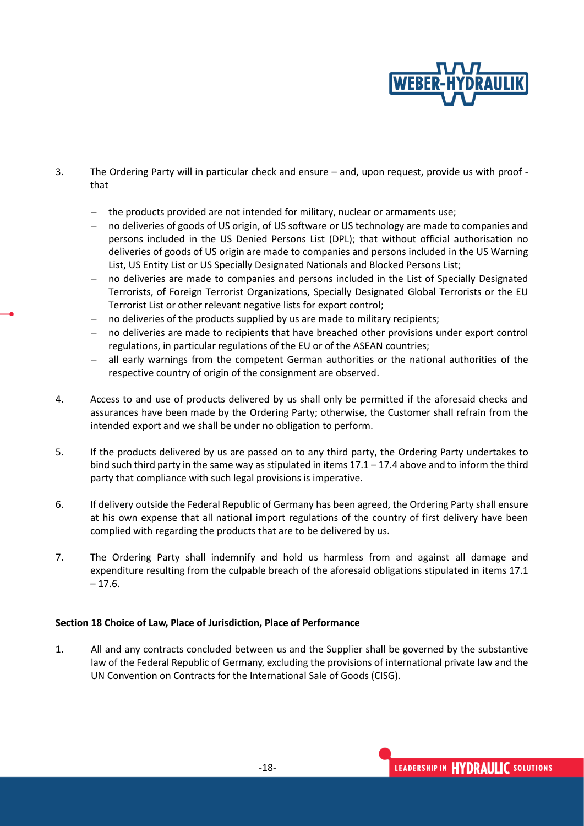

- 3. The Ordering Party will in particular check and ensure and, upon request, provide us with proof that
	- − the products provided are not intended for military, nuclear or armaments use;
	- no deliveries of goods of US origin, of US software or US technology are made to companies and persons included in the US Denied Persons List (DPL); that without official authorisation no deliveries of goods of US origin are made to companies and persons included in the US Warning List, US Entity List or US Specially Designated Nationals and Blocked Persons List;
	- no deliveries are made to companies and persons included in the List of Specially Designated Terrorists, of Foreign Terrorist Organizations, Specially Designated Global Terrorists or the EU Terrorist List or other relevant negative lists for export control;
	- no deliveries of the products supplied by us are made to military recipients;
	- no deliveries are made to recipients that have breached other provisions under export control regulations, in particular regulations of the EU or of the ASEAN countries;
	- all early warnings from the competent German authorities or the national authorities of the respective country of origin of the consignment are observed.
- 4. Access to and use of products delivered by us shall only be permitted if the aforesaid checks and assurances have been made by the Ordering Party; otherwise, the Customer shall refrain from the intended export and we shall be under no obligation to perform.
- 5. If the products delivered by us are passed on to any third party, the Ordering Party undertakes to bind such third party in the same way as stipulated in items 17.1 – 17.4 above and to inform the third party that compliance with such legal provisions is imperative.
- 6. If delivery outside the Federal Republic of Germany has been agreed, the Ordering Party shall ensure at his own expense that all national import regulations of the country of first delivery have been complied with regarding the products that are to be delivered by us.
- 7. The Ordering Party shall indemnify and hold us harmless from and against all damage and expenditure resulting from the culpable breach of the aforesaid obligations stipulated in items 17.1  $-17.6.$

# **Section 18 Choice of Law, Place of Jurisdiction, Place of Performance**

1. All and any contracts concluded between us and the Supplier shall be governed by the substantive law of the Federal Republic of Germany, excluding the provisions of international private law and the UN Convention on Contracts for the International Sale of Goods (CISG).